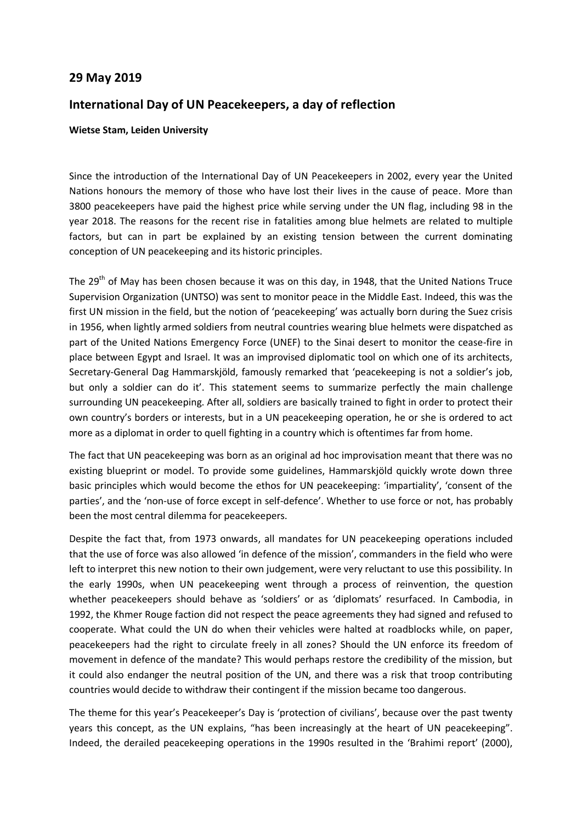## **29 May 2019**

## **International Day of UN Peacekeepers, a day of reflection**

## **Wietse Stam, Leiden University**

Since the introduction of the International Day of UN Peacekeepers in 2002, every year the United Nations honours the memory of those who have lost their lives in the cause of peace. More than 3800 peacekeepers have paid the highest price while serving under the UN flag, including 98 in the year 2018. The reasons for the recent rise in fatalities among blue helmets are related to multiple factors, but can in part be explained by an existing tension between the current dominating conception of UN peacekeeping and its historic principles.

The 29<sup>th</sup> of May has been chosen because it was on this day, in 1948, that the United Nations Truce Supervision Organization (UNTSO) was sent to monitor peace in the Middle East. Indeed, this was the first UN mission in the field, but the notion of 'peacekeeping' was actually born during the Suez crisis in 1956, when lightly armed soldiers from neutral countries wearing blue helmets were dispatched as part of the United Nations Emergency Force (UNEF) to the Sinai desert to monitor the cease-fire in place between Egypt and Israel. It was an improvised diplomatic tool on which one of its architects, Secretary-General Dag Hammarskjöld, famously remarked that 'peacekeeping is not a soldier's job, but only a soldier can do it'. This statement seems to summarize perfectly the main challenge surrounding UN peacekeeping. After all, soldiers are basically trained to fight in order to protect their own country's borders or interests, but in a UN peacekeeping operation, he or she is ordered to act more as a diplomat in order to quell fighting in a country which is oftentimes far from home.

The fact that UN peacekeeping was born as an original ad hoc improvisation meant that there was no existing blueprint or model. To provide some guidelines, Hammarskjöld quickly wrote down three basic principles which would become the ethos for UN peacekeeping: 'impartiality', 'consent of the parties', and the 'non-use of force except in self-defence'. Whether to use force or not, has probably been the most central dilemma for peacekeepers.

Despite the fact that, from 1973 onwards, all mandates for UN peacekeeping operations included that the use of force was also allowed 'in defence of the mission', commanders in the field who were left to interpret this new notion to their own judgement, were very reluctant to use this possibility. In the early 1990s, when UN peacekeeping went through a process of reinvention, the question whether peacekeepers should behave as 'soldiers' or as 'diplomats' resurfaced. In Cambodia, in 1992, the Khmer Rouge faction did not respect the peace agreements they had signed and refused to cooperate. What could the UN do when their vehicles were halted at roadblocks while, on paper, peacekeepers had the right to circulate freely in all zones? Should the UN enforce its freedom of movement in defence of the mandate? This would perhaps restore the credibility of the mission, but it could also endanger the neutral position of the UN, and there was a risk that troop contributing countries would decide to withdraw their contingent if the mission became too dangerous.

The theme for this year's Peacekeeper's Day is 'protection of civilians', because over the past twenty years this concept, as the UN explains, "has been increasingly at the heart of UN peacekeeping". Indeed, the derailed peacekeeping operations in the 1990s resulted in the 'Brahimi report' (2000),